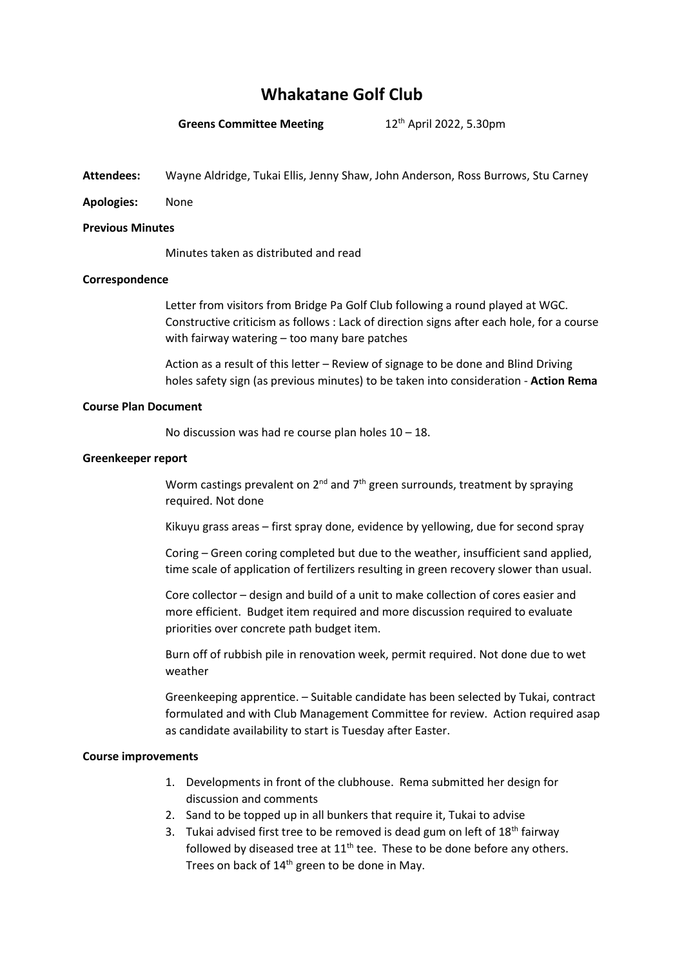# **Whakatane Golf Club**

# **Greens Committee Meeting** 12<sup>th</sup> April 2022, 5.30pm

**Attendees:** Wayne Aldridge, Tukai Ellis, Jenny Shaw, John Anderson, Ross Burrows, Stu Carney

**Apologies:** None

#### **Previous Minutes**

Minutes taken as distributed and read

# **Correspondence**

Letter from visitors from Bridge Pa Golf Club following a round played at WGC. Constructive criticism as follows : Lack of direction signs after each hole, for a course with fairway watering – too many bare patches

Action as a result of this letter – Review of signage to be done and Blind Driving holes safety sign (as previous minutes) to be taken into consideration - **Action Rema**

#### **Course Plan Document**

No discussion was had re course plan holes 10 – 18.

# **Greenkeeper report**

Worm castings prevalent on  $2^{nd}$  and  $7^{th}$  green surrounds, treatment by spraying required. Not done

Kikuyu grass areas – first spray done, evidence by yellowing, due for second spray

Coring – Green coring completed but due to the weather, insufficient sand applied, time scale of application of fertilizers resulting in green recovery slower than usual.

Core collector – design and build of a unit to make collection of cores easier and more efficient. Budget item required and more discussion required to evaluate priorities over concrete path budget item.

Burn off of rubbish pile in renovation week, permit required. Not done due to wet weather

Greenkeeping apprentice. – Suitable candidate has been selected by Tukai, contract formulated and with Club Management Committee for review. Action required asap as candidate availability to start is Tuesday after Easter.

#### **Course improvements**

- 1. Developments in front of the clubhouse. Rema submitted her design for discussion and comments
- 2. Sand to be topped up in all bunkers that require it, Tukai to advise
- 3. Tukai advised first tree to be removed is dead gum on left of  $18<sup>th</sup>$  fairway followed by diseased tree at  $11<sup>th</sup>$  tee. These to be done before any others. Trees on back of 14<sup>th</sup> green to be done in May.